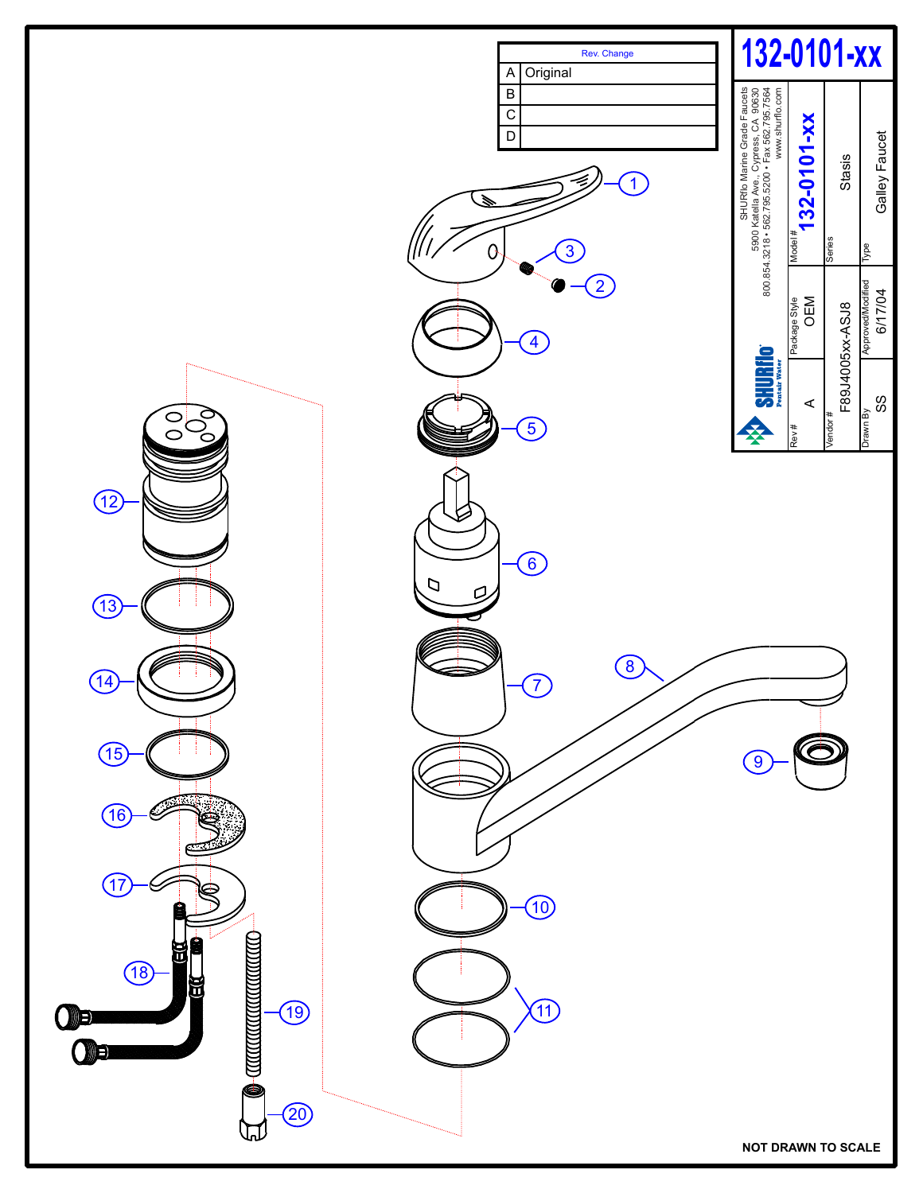